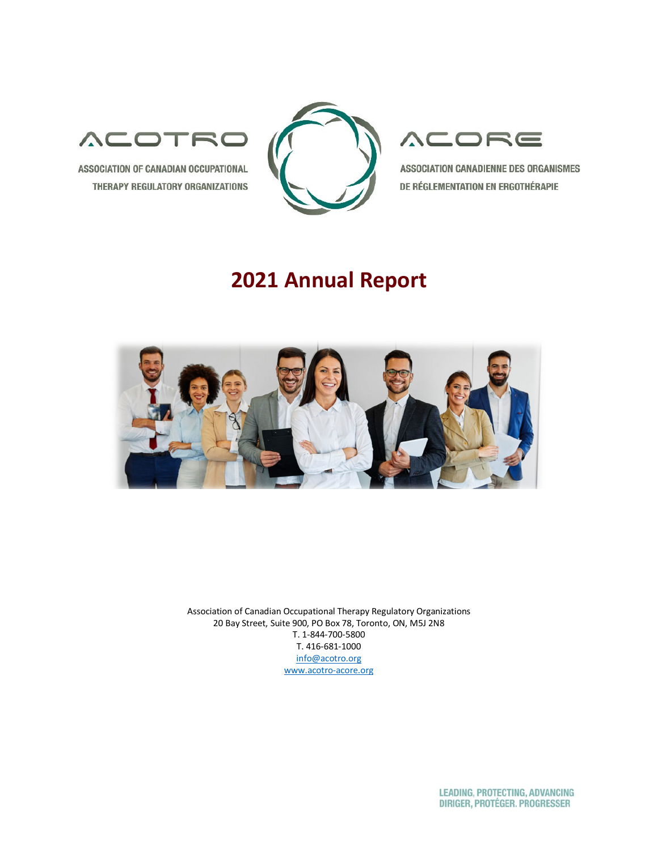

ASSOCIATION OF CANADIAN OCCUPATIONAL THERAPY REGULATORY ORGANIZATIONS



# ACORE

ASSOCIATION CANADIENNE DES ORGANISMES DE RÉGLEMENTATION EN ERGOTHÉRAPIE

# **2021 Annual Report**



Association of Canadian Occupational Therapy Regulatory Organizations 20 Bay Street, Suite 900, PO Box 78, Toronto, ON, M5J 2N8 T. 1-844-700-5800 T. 416-681-1000 [info@acotro.org](about:blank) [www.acotro-acore.org](about:blank)

> **LEADING, PROTECTING, ADVANCING** DIRIGER, PROTÉGER. PROGRESSER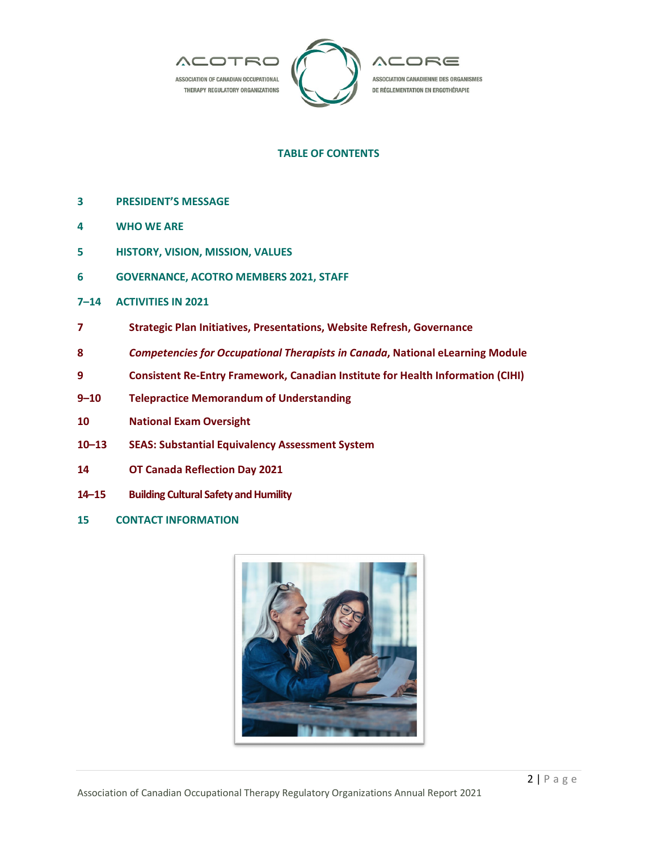

# **TABLE OF CONTENTS**

- **3 PRESIDENT'S MESSAGE**
- **4 WHO WE ARE**
- **5 HISTORY, VISION, MISSION, VALUES**
- **6 GOVERNANCE, ACOTRO MEMBERS 2021, STAFF**
- **7–14 ACTIVITIES IN 2021**
- **7 Strategic Plan Initiatives, Presentations, Website Refresh, Governance**
- **8** *Competencies for Occupational Therapists in Canada***, National eLearning Module**
- **9 Consistent Re-Entry Framework, Canadian Institute for Health Information (CIHI)**
- **9–10 Telepractice Memorandum of Understanding**
- **10 National Exam Oversight**
- **10–13 SEAS: Substantial Equivalency Assessment System**
- **14 OT Canada Reflection Day 2021**
- **14–15 Building Cultural Safety and Humility**
- **15 CONTACT INFORMATION**

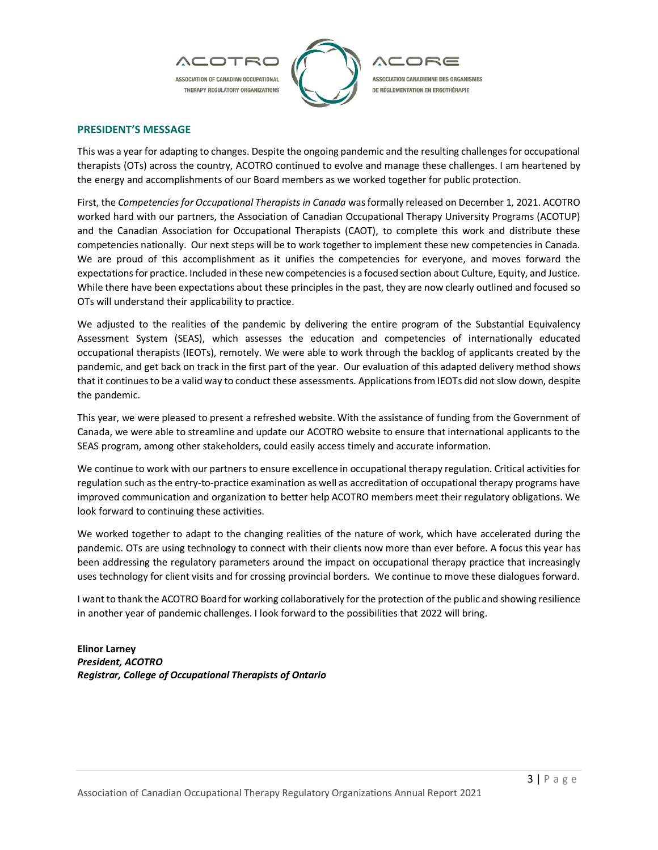

#### **PRESIDENT'S MESSAGE**

This was a year for adapting to changes. Despite the ongoing pandemic and the resulting challenges for occupational therapists (OTs) across the country, ACOTRO continued to evolve and manage these challenges. I am heartened by the energy and accomplishments of our Board members as we worked together for public protection.

First, the *Competencies for Occupational Therapists in Canada* was formally released on December 1, 2021. ACOTRO worked hard with our partners, the Association of Canadian Occupational Therapy University Programs (ACOTUP) and the Canadian Association for Occupational Therapists (CAOT), to complete this work and distribute these competencies nationally. Our next steps will be to work together to implement these new competencies in Canada. We are proud of this accomplishment as it unifies the competencies for everyone, and moves forward the expectations for practice. Included in these new competencies is a focused section about Culture, Equity, and Justice. While there have been expectations about these principles in the past, they are now clearly outlined and focused so OTs will understand their applicability to practice.

We adjusted to the realities of the pandemic by delivering the entire program of the Substantial Equivalency Assessment System (SEAS), which assesses the education and competencies of internationally educated occupational therapists (IEOTs), remotely. We were able to work through the backlog of applicants created by the pandemic, and get back on track in the first part of the year. Our evaluation of this adapted delivery method shows that it continues to be a valid way to conduct these assessments. Applications from IEOTs did not slow down, despite the pandemic.

This year, we were pleased to present a refreshed website. With the assistance of funding from the Government of Canada, we were able to streamline and update our ACOTRO website to ensure that international applicants to the SEAS program, among other stakeholders, could easily access timely and accurate information.

We continue to work with our partners to ensure excellence in occupational therapy regulation. Critical activities for regulation such as the entry-to-practice examination as well as accreditation of occupational therapy programs have improved communication and organization to better help ACOTRO members meet their regulatory obligations. We look forward to continuing these activities.

We worked together to adapt to the changing realities of the nature of work, which have accelerated during the pandemic. OTs are using technology to connect with their clients now more than ever before. A focus this year has been addressing the regulatory parameters around the impact on occupational therapy practice that increasingly uses technology for client visits and for crossing provincial borders. We continue to move these dialogues forward.

I want to thank the ACOTRO Board for working collaboratively for the protection of the public and showing resilience in another year of pandemic challenges. I look forward to the possibilities that 2022 will bring.

**Elinor Larney** *President, ACOTRO Registrar, College of Occupational Therapists of Ontario*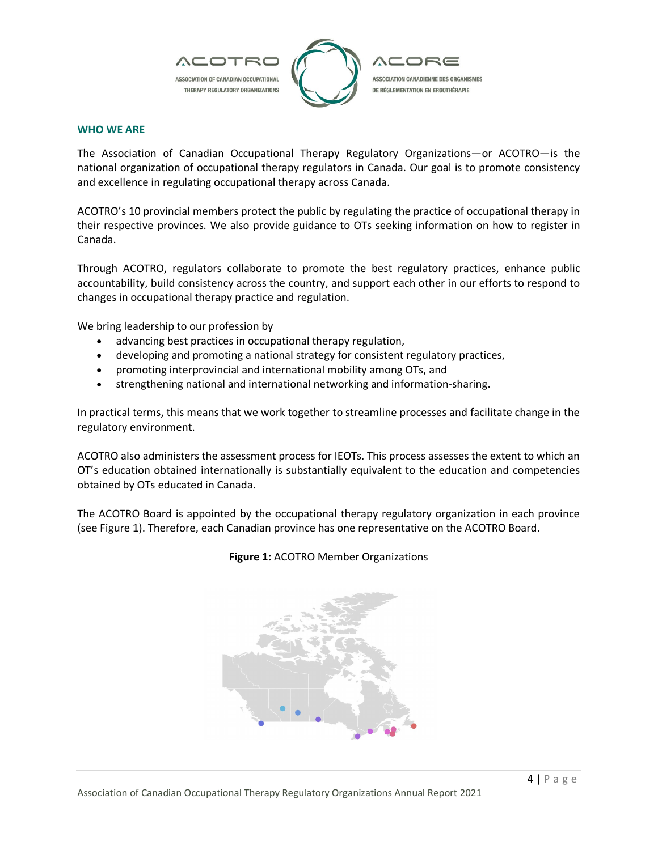

# **WHO WE ARE**

The Association of Canadian Occupational Therapy Regulatory Organizations—or ACOTRO—is the national organization of occupational therapy regulators in Canada. Our goal is to promote consistency and excellence in regulating occupational therapy across Canada.

ACOTRO's 10 provincial members protect the public by regulating the practice of occupational therapy in their respective provinces. We also provide guidance to OTs seeking information on how to register in Canada.

Through ACOTRO, regulators collaborate to promote the best regulatory practices, enhance public accountability, build consistency across the country, and support each other in our efforts to respond to changes in occupational therapy practice and regulation.

We bring leadership to our profession by

- advancing best practices in occupational therapy regulation,
- developing and promoting a national strategy for consistent regulatory practices,
- promoting interprovincial and international mobility among OTs, and
- strengthening national and international networking and information-sharing.

In practical terms, this means that we work together to streamline processes and facilitate change in the regulatory environment.

ACOTRO also administers the assessment process for IEOTs. This process assesses the extent to which an OT's education obtained internationally is substantially equivalent to the education and competencies obtained by OTs educated in Canada.

The ACOTRO Board is appointed by the occupational therapy regulatory organization in each province (see Figure 1). Therefore, each Canadian province has one representative on the ACOTRO Board.



# **Figure 1:** ACOTRO Member Organizations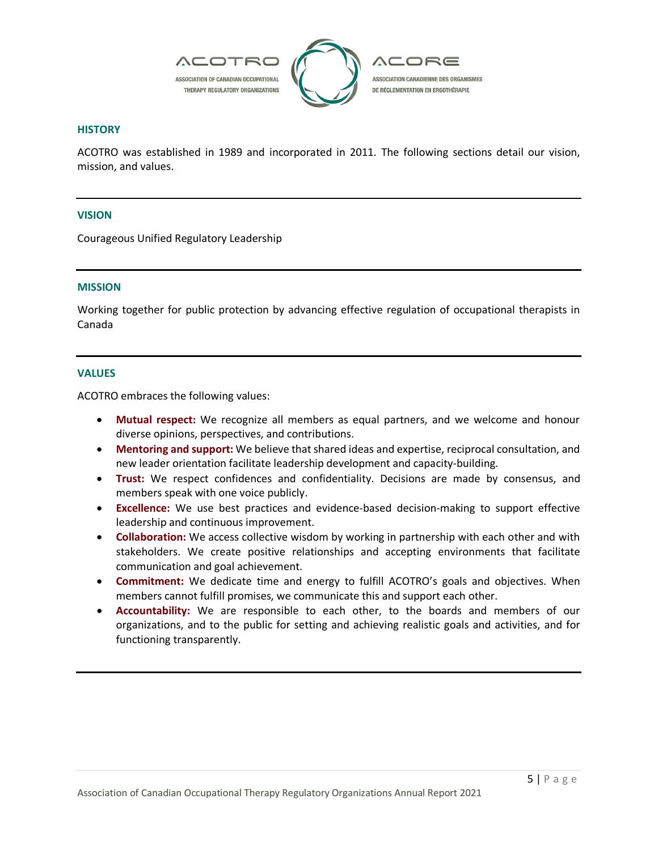

#### **HISTORY**

ACOTRO was established in 1989 and incorporated in 2011. The following sections detail our vision, mission, and values.

# **VISION**

Courageous Unified Regulatory Leadership

#### **MISSION**

Working together for public protection by advancing effective regulation of occupational therapists in Canada

#### **VALUES**

ACOTRO embraces the following values:

- **Mutual respect:** We recognize all members as equal partners, and we welcome and honour diverse opinions, perspectives, and contributions.
- **Mentoring and support:** We believe that shared ideas and expertise, reciprocal consultation, and new leader orientation facilitate leadership development and capacity-building.
- **Trust:** We respect confidences and confidentiality. Decisions are made by consensus, and members speak with one voice publicly.
- **Excellence:** We use best practices and evidence-based decision-making to support effective leadership and continuous improvement.
- **Collaboration:** We access collective wisdom by working in partnership with each other and with stakeholders. We create positive relationships and accepting environments that facilitate communication and goal achievement.
- **Commitment:** We dedicate time and energy to fulfill ACOTRO's goals and objectives. When members cannot fulfill promises, we communicate this and support each other.
- **Accountability:** We are responsible to each other, to the boards and members of our organizations, and to the public for setting and achieving realistic goals and activities, and for functioning transparently.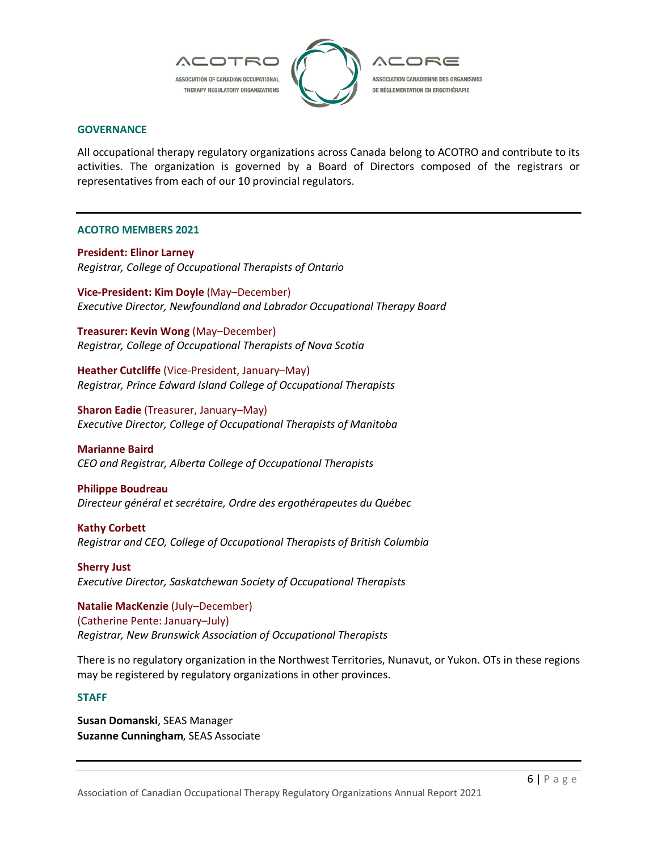

#### **GOVERNANCE**

All occupational therapy regulatory organizations across Canada belong to ACOTRO and contribute to its activities. The organization is governed by a Board of Directors composed of the registrars or representatives from each of our 10 provincial regulators.

#### **ACOTRO MEMBERS 2021**

**President: Elinor Larney** *Registrar, College of Occupational Therapists of Ontario*

**Vice-President: Kim Doyle** (May–December) *Executive Director, Newfoundland and Labrador Occupational Therapy Board*

**Treasurer: Kevin Wong** (May–December) *Registrar, College of Occupational Therapists of Nova Scotia*

**Heather Cutcliffe** (Vice-President, January–May) *Registrar, Prince Edward Island College of Occupational Therapists*

**Sharon Eadie** (Treasurer, January–May) *Executive Director, College of Occupational Therapists of Manitoba*

**Marianne Baird** *CEO and Registrar, Alberta College of Occupational Therapists*

# **Philippe Boudreau**

*Directeur général et secrétaire, Ordre des ergothérapeutes du Québec*

**Kathy Corbett** *Registrar and CEO, College of Occupational Therapists of British Columbia*

**Sherry Just** *Executive Director, Saskatchewan Society of Occupational Therapists*

**Natalie MacKenzie** (July–December) (Catherine Pente: January–July) *Registrar, New Brunswick Association of Occupational Therapists*

There is no regulatory organization in the Northwest Territories, Nunavut, or Yukon. OTs in these regions may be registered by regulatory organizations in other provinces.

# **STAFF**

**Susan Domanski**, SEAS Manager **Suzanne Cunningham**, SEAS Associate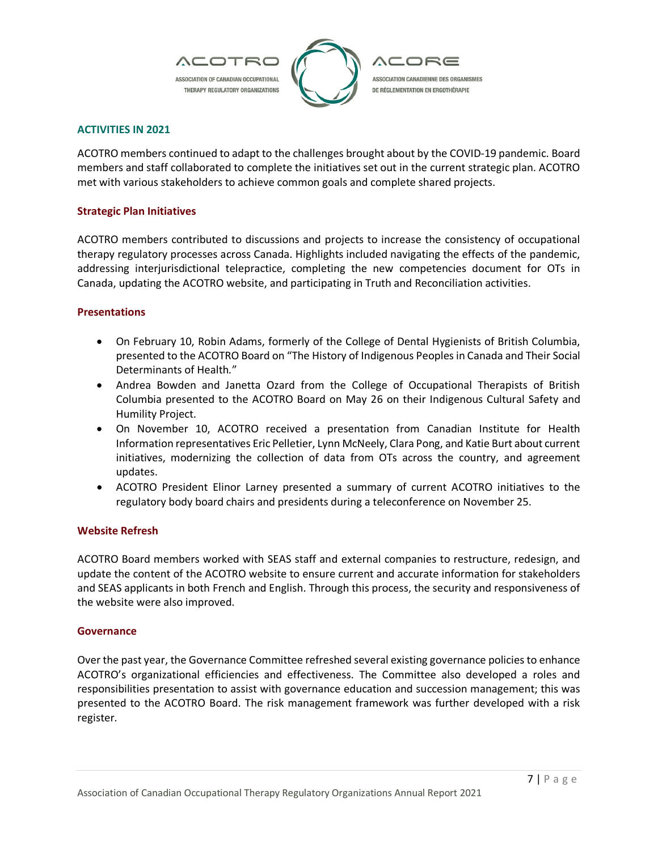

# **ACTIVITIES IN 2021**

ACOTRO members continued to adapt to the challenges brought about by the COVID-19 pandemic. Board members and staff collaborated to complete the initiatives set out in the current strategic plan. ACOTRO met with various stakeholders to achieve common goals and complete shared projects.

# **Strategic Plan Initiatives**

ACOTRO members contributed to discussions and projects to increase the consistency of occupational therapy regulatory processes across Canada. Highlights included navigating the effects of the pandemic, addressing interjurisdictional telepractice, completing the new competencies document for OTs in Canada, updating the ACOTRO website, and participating in Truth and Reconciliation activities.

# **Presentations**

- On February 10, Robin Adams, formerly of the College of Dental Hygienists of British Columbia, presented to the ACOTRO Board on "The History of Indigenous Peoples in Canada and Their Social Determinants of Health*.*"
- Andrea Bowden and Janetta Ozard from the College of Occupational Therapists of British Columbia presented to the ACOTRO Board on May 26 on their Indigenous Cultural Safety and Humility Project.
- On November 10, ACOTRO received a presentation from Canadian Institute for Health Information representatives Eric Pelletier, Lynn McNeely, Clara Pong, and Katie Burt about current initiatives, modernizing the collection of data from OTs across the country, and agreement updates.
- ACOTRO President Elinor Larney presented a summary of current ACOTRO initiatives to the regulatory body board chairs and presidents during a teleconference on November 25.

# **Website Refresh**

ACOTRO Board members worked with SEAS staff and external companies to restructure, redesign, and update the content of the ACOTRO website to ensure current and accurate information for stakeholders and SEAS applicants in both French and English. Through this process, the security and responsiveness of the website were also improved.

# **Governance**

Over the past year, the Governance Committee refreshed several existing governance policies to enhance ACOTRO's organizational efficiencies and effectiveness. The Committee also developed a roles and responsibilities presentation to assist with governance education and succession management; this was presented to the ACOTRO Board. The risk management framework was further developed with a risk register.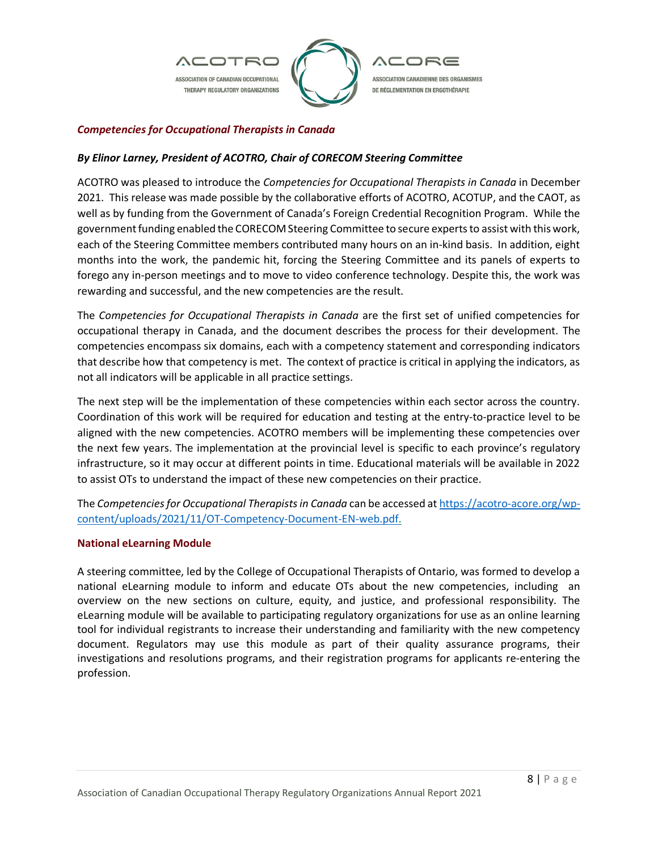

# *Competencies for Occupational Therapists in Canada*

# *By Elinor Larney, President of ACOTRO, Chair of CORECOM Steering Committee*

ACOTRO was pleased to introduce the *Competencies for Occupational Therapists in Canada* in December 2021. This release was made possible by the collaborative efforts of ACOTRO, ACOTUP, and the CAOT, as well as by funding from the Government of Canada's Foreign Credential Recognition Program. While the government funding enabled the CORECOM Steering Committee to secure experts to assist with this work, each of the Steering Committee members contributed many hours on an in-kind basis. In addition, eight months into the work, the pandemic hit, forcing the Steering Committee and its panels of experts to forego any in-person meetings and to move to video conference technology. Despite this, the work was rewarding and successful, and the new competencies are the result.

The *Competencies for Occupational Therapists in Canada* are the first set of unified competencies for occupational therapy in Canada, and the document describes the process for their development. The competencies encompass six domains, each with a competency statement and corresponding indicators that describe how that competency is met. The context of practice is critical in applying the indicators, as not all indicators will be applicable in all practice settings.

The next step will be the implementation of these competencies within each sector across the country. Coordination of this work will be required for education and testing at the entry-to-practice level to be aligned with the new competencies. ACOTRO members will be implementing these competencies over the next few years. The implementation at the provincial level is specific to each province's regulatory infrastructure, so it may occur at different points in time. Educational materials will be available in 2022 to assist OTs to understand the impact of these new competencies on their practice.

The *Competencies for Occupational Therapists in Canada* can be accessed at https://acotro-acore.org/wpcontent/uploads/2021/11/OT-Competency-Document-EN-web.pdf.

# **National eLearning Module**

A steering committee, led by the College of Occupational Therapists of Ontario, was formed to develop a national eLearning module to inform and educate OTs about the new competencies, including an overview on the new sections on culture, equity, and justice, and professional responsibility. The eLearning module will be available to participating regulatory organizations for use as an online learning tool for individual registrants to increase their understanding and familiarity with the new competency document. Regulators may use this module as part of their quality assurance programs, their investigations and resolutions programs, and their registration programs for applicants re-entering the profession.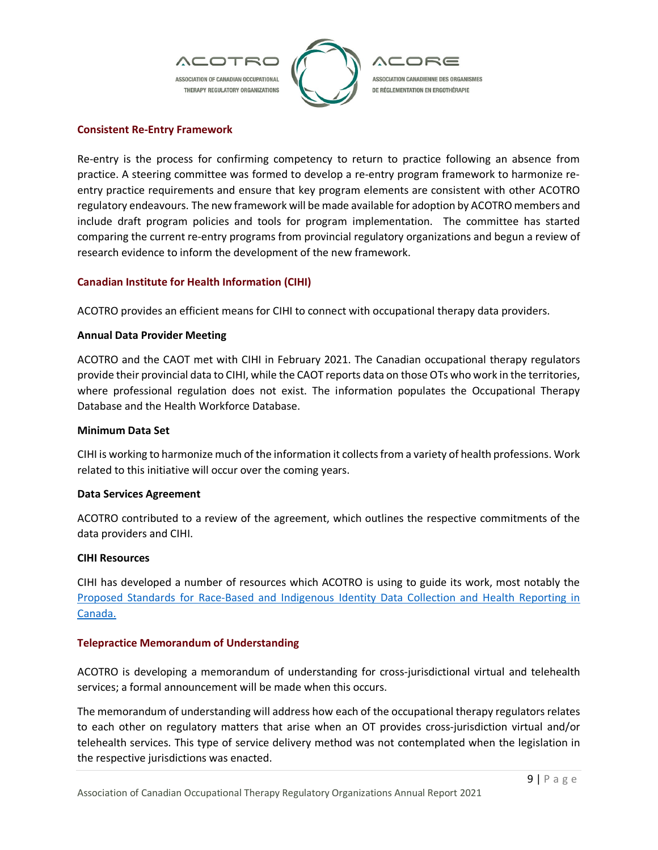

# **Consistent Re-Entry Framework**

Re-entry is the process for confirming competency to return to practice following an absence from practice. A steering committee was formed to develop a re-entry program framework to harmonize reentry practice requirements and ensure that key program elements are consistent with other ACOTRO regulatory endeavours. The new framework will be made available for adoption by ACOTRO members and include draft program policies and tools for program implementation. The committee has started comparing the current re-entry programs from provincial regulatory organizations and begun a review of research evidence to inform the development of the new framework.

# **Canadian Institute for Health Information (CIHI)**

ACOTRO provides an efficient means for CIHI to connect with occupational therapy data providers.

# **Annual Data Provider Meeting**

ACOTRO and the CAOT met with CIHI in February 2021. The Canadian occupational therapy regulators provide their provincial data to CIHI, while the CAOT reports data on those OTs who work in the territories, where professional regulation does not exist. The information populates the Occupational Therapy Database and the Health Workforce Database.

#### **Minimum Data Set**

CIHI is working to harmonize much of the information it collects from a variety of health professions. Work related to this initiative will occur over the coming years.

#### **Data Services Agreement**

ACOTRO contributed to a review of the agreement, which outlines the respective commitments of the data providers and CIHI.

#### **CIHI Resources**

CIHI has developed a number of resources which ACOTRO is using to guide its work, most notably the Proposed Standards for Race-Based and Indigenous Identity Data Collection and Health Reporting in Canada.

# **Telepractice Memorandum of Understanding**

ACOTRO is developing a memorandum of understanding for cross-jurisdictional virtual and telehealth services; a formal announcement will be made when this occurs.

The memorandum of understanding will address how each of the occupational therapy regulators relates to each other on regulatory matters that arise when an OT provides cross-jurisdiction virtual and/or telehealth services. This type of service delivery method was not contemplated when the legislation in the respective jurisdictions was enacted.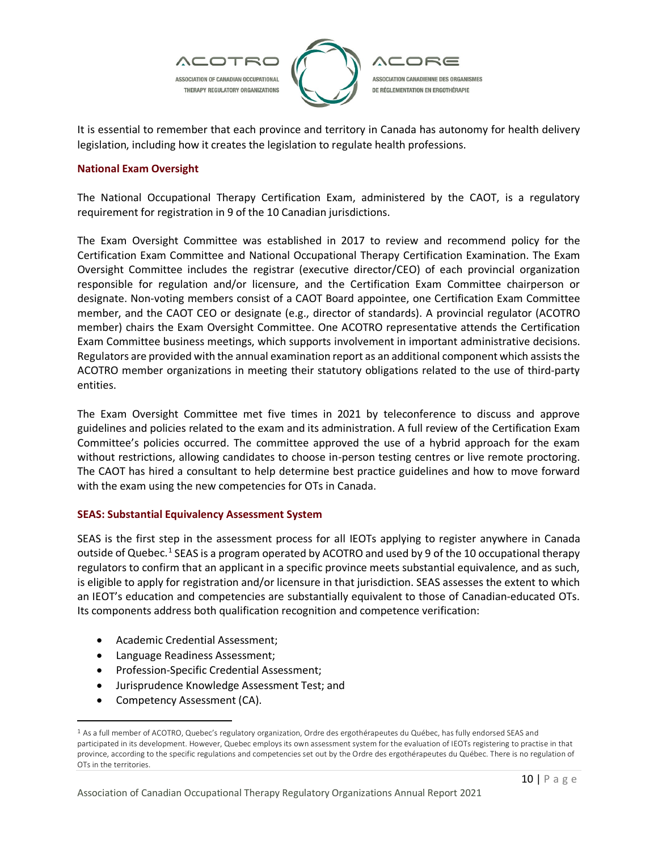

It is essential to remember that each province and territory in Canada has autonomy for health delivery legislation, including how it creates the legislation to regulate health professions.

# **National Exam Oversight**

The National Occupational Therapy Certification Exam, administered by the CAOT, is a regulatory requirement for registration in 9 of the 10 Canadian jurisdictions.

The Exam Oversight Committee was established in 2017 to review and recommend policy for the Certification Exam Committee and National Occupational Therapy Certification Examination. The Exam Oversight Committee includes the registrar (executive director/CEO) of each provincial organization responsible for regulation and/or licensure, and the Certification Exam Committee chairperson or designate. Non-voting members consist of a CAOT Board appointee, one Certification Exam Committee member, and the CAOT CEO or designate (e.g., director of standards). A provincial regulator (ACOTRO member) chairs the Exam Oversight Committee. One ACOTRO representative attends the Certification Exam Committee business meetings, which supports involvement in important administrative decisions. Regulators are provided with the annual examination report as an additional component which assists the ACOTRO member organizations in meeting their statutory obligations related to the use of third-party entities.

The Exam Oversight Committee met five times in 2021 by teleconference to discuss and approve guidelines and policies related to the exam and its administration. A full review of the Certification Exam Committee's policies occurred. The committee approved the use of a hybrid approach for the exam without restrictions, allowing candidates to choose in-person testing centres or live remote proctoring. The CAOT has hired a consultant to help determine best practice guidelines and how to move forward with the exam using the new competencies for OTs in Canada.

# **SEAS: Substantial Equivalency Assessment System**

SEAS is the first step in the assessment process for all IEOTs applying to register anywhere in Canada outside of Quebec.<sup>[1](#page-9-0)</sup> SEAS is a program operated by ACOTRO and used by 9 of the 10 occupational therapy regulators to confirm that an applicant in a specific province meets substantial equivalence, and as such, is eligible to apply for registration and/or licensure in that jurisdiction. SEAS assesses the extent to which an IEOT's education and competencies are substantially equivalent to those of Canadian-educated OTs. Its components address both qualification recognition and competence verification:

- Academic Credential Assessment;
- Language Readiness Assessment;
- Profession-Specific Credential Assessment;
- Jurisprudence Knowledge Assessment Test; and
- Competency Assessment (CA).

<span id="page-9-0"></span><sup>1</sup> As a full member of ACOTRO, Quebec's regulatory organization, Ordre des ergothérapeutes du Québec, has fully endorsed SEAS and participated in its development. However, Quebec employs its own assessment system for the evaluation of IEOTs registering to practise in that province, according to the specific regulations and competencies set out by the Ordre des ergothérapeutes du Québec. There is no regulation of OTs in the territories.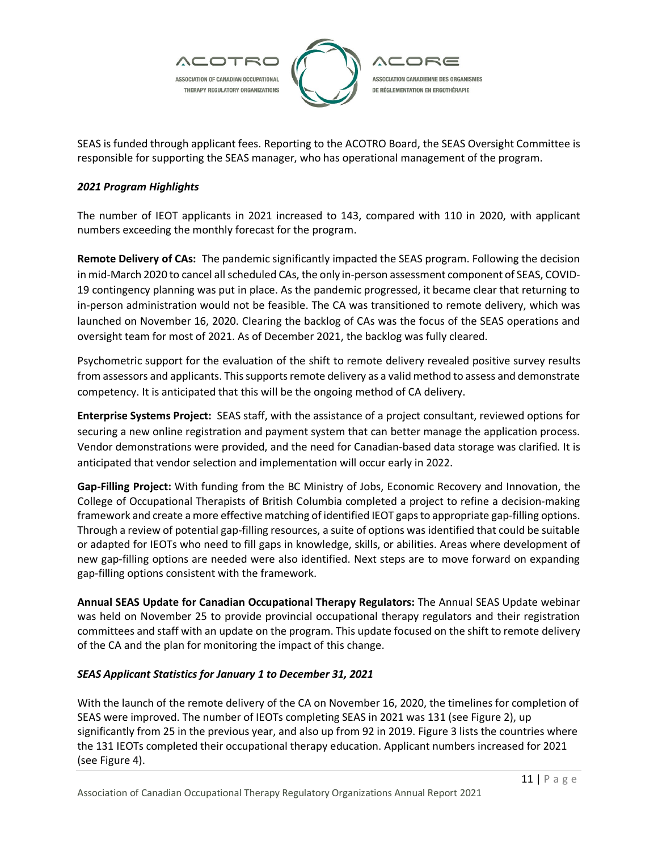

SEAS is funded through applicant fees. Reporting to the ACOTRO Board, the SEAS Oversight Committee is responsible for supporting the SEAS manager, who has operational management of the program.

# *2021 Program Highlights*

The number of IEOT applicants in 2021 increased to 143, compared with 110 in 2020, with applicant numbers exceeding the monthly forecast for the program.

**Remote Delivery of CAs:** The pandemic significantly impacted the SEAS program. Following the decision in mid-March 2020 to cancel all scheduled CAs, the only in-person assessment component of SEAS, COVID-19 contingency planning was put in place. As the pandemic progressed, it became clear that returning to in-person administration would not be feasible. The CA was transitioned to remote delivery, which was launched on November 16, 2020. Clearing the backlog of CAs was the focus of the SEAS operations and oversight team for most of 2021. As of December 2021, the backlog was fully cleared.

Psychometric support for the evaluation of the shift to remote delivery revealed positive survey results from assessors and applicants. This supports remote delivery as a valid method to assess and demonstrate competency. It is anticipated that this will be the ongoing method of CA delivery.

**Enterprise Systems Project:** SEAS staff, with the assistance of a project consultant, reviewed options for securing a new online registration and payment system that can better manage the application process. Vendor demonstrations were provided, and the need for Canadian-based data storage was clarified. It is anticipated that vendor selection and implementation will occur early in 2022.

**Gap-Filling Project:** With funding from the BC Ministry of Jobs, Economic Recovery and Innovation, the College of Occupational Therapists of British Columbia completed a project to refine a decision-making framework and create a more effective matching of identified IEOT gaps to appropriate gap-filling options. Through a review of potential gap-filling resources, a suite of options was identified that could be suitable or adapted for IEOTs who need to fill gaps in knowledge, skills, or abilities. Areas where development of new gap-filling options are needed were also identified. Next steps are to move forward on expanding gap-filling options consistent with the framework.

**Annual SEAS Update for Canadian Occupational Therapy Regulators:** The Annual SEAS Update webinar was held on November 25 to provide provincial occupational therapy regulators and their registration committees and staff with an update on the program. This update focused on the shift to remote delivery of the CA and the plan for monitoring the impact of this change.

# *SEAS Applicant Statistics for January 1 to December 31, 2021*

With the launch of the remote delivery of the CA on November 16, 2020, the timelines for completion of SEAS were improved. The number of IEOTs completing SEAS in 2021 was 131 (see Figure 2), up significantly from 25 in the previous year, and also up from 92 in 2019. Figure 3 lists the countries where the 131 IEOTs completed their occupational therapy education. Applicant numbers increased for 2021 (see Figure 4).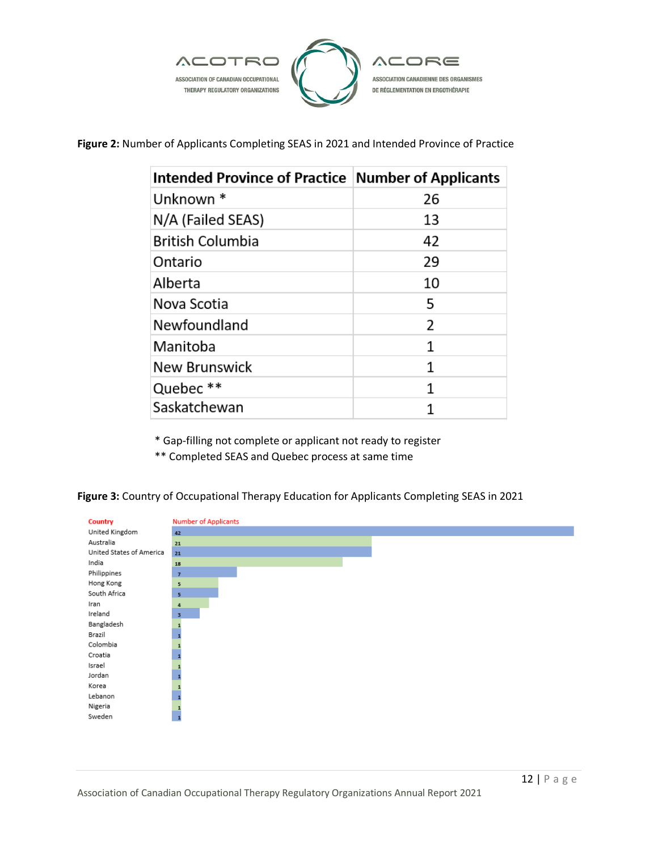

**Figure 2:** Number of Applicants Completing SEAS in 2021 and Intended Province of Practice

| Intended Province of Practice Number of Applicants |    |
|----------------------------------------------------|----|
| Unknown <sup>*</sup>                               | 26 |
| N/A (Failed SEAS)                                  | 13 |
| <b>British Columbia</b>                            | 42 |
| Ontario                                            | 29 |
| Alberta                                            | 10 |
| Nova Scotia                                        | 5  |
| Newfoundland                                       | 2  |
| Manitoba                                           | 1  |
| New Brunswick                                      | 1  |
| Quebec **                                          | 1  |
| Saskatchewan                                       |    |

\* Gap-filling not complete or applicant not ready to register

\*\* Completed SEAS and Quebec process at same time

**Figure 3:** Country of Occupational Therapy Education for Applicants Completing SEAS in 2021

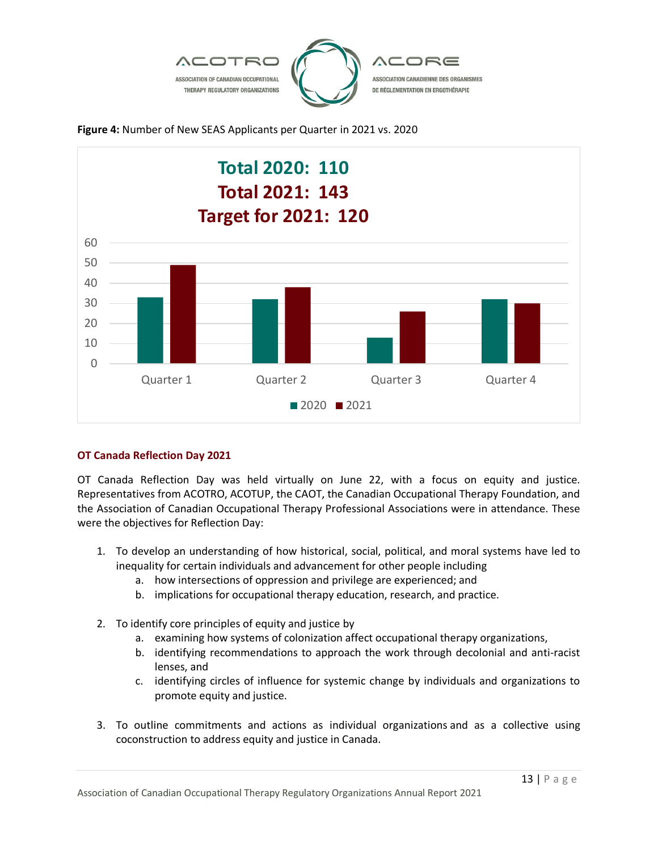





# **OT Canada Reflection Day 2021**

OT Canada Reflection Day was held virtually on June 22, with a focus on equity and justice. Representatives from ACOTRO, ACOTUP, the CAOT, the Canadian Occupational Therapy Foundation, and the Association of Canadian Occupational Therapy Professional Associations were in attendance. These were the objectives for Reflection Day:

- 1. To develop an understanding of how historical, social, political, and moral systems have led to inequality for certain individuals and advancement for other people including
	- a. how intersections of oppression and privilege are experienced; and
	- b. implications for occupational therapy education, research, and practice.
- 2. To identify core principles of equity and justice by
	- a. examining how systems of colonization affect occupational therapy organizations,
	- b. identifying recommendations to approach the work through decolonial and anti-racist lenses, and
	- c. identifying circles of influence for systemic change by individuals and organizations to promote equity and justice.
- 3. To outline commitments and actions as individual organizations and as a collective using coconstruction to address equity and justice in Canada.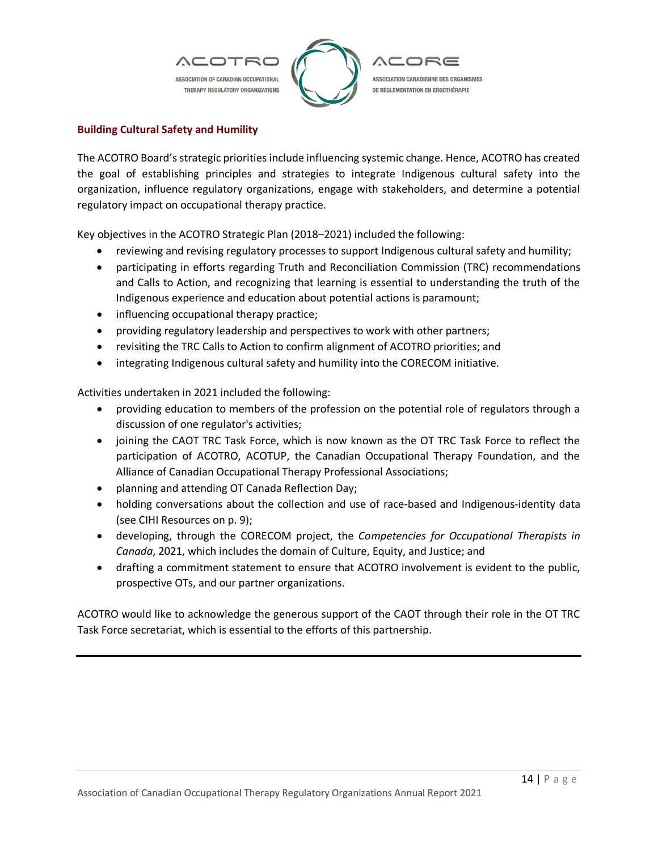

# **Building Cultural Safety and Humility**

The ACOTRO Board's strategic priorities include influencing systemic change. Hence, ACOTRO has created the goal of establishing principles and strategies to integrate Indigenous cultural safety into the organization, influence regulatory organizations, engage with stakeholders, and determine a potential regulatory impact on occupational therapy practice.

Key objectives in the ACOTRO Strategic Plan (2018–2021) included the following:

- reviewing and revising regulatory processes to support Indigenous cultural safety and humility;
- participating in efforts regarding Truth and Reconciliation Commission (TRC) recommendations and Calls to Action, and recognizing that learning is essential to understanding the truth of the Indigenous experience and education about potential actions is paramount;
- influencing occupational therapy practice;
- providing regulatory leadership and perspectives to work with other partners;
- revisiting the TRC Calls to Action to confirm alignment of ACOTRO priorities; and
- integrating Indigenous cultural safety and humility into the CORECOM initiative.

Activities undertaken in 2021 included the following:

- providing education to members of the profession on the potential role of regulators through a discussion of one regulator's activities;
- joining the CAOT TRC Task Force, which is now known as the OT TRC Task Force to reflect the participation of ACOTRO, ACOTUP, the Canadian Occupational Therapy Foundation, and the Alliance of Canadian Occupational Therapy Professional Associations;
- planning and attending OT Canada Reflection Day;
- holding conversations about the collection and use of race-based and Indigenous-identity data (see CIHI Resources on p. 9);
- developing, through the CORECOM project, the *Competencies for Occupational Therapists in Canada*, 2021, which includes the domain of Culture, Equity, and Justice; and
- drafting a commitment statement to ensure that ACOTRO involvement is evident to the public, prospective OTs, and our partner organizations.

ACOTRO would like to acknowledge the generous support of the CAOT through their role in the OT TRC Task Force secretariat, which is essential to the efforts of this partnership.